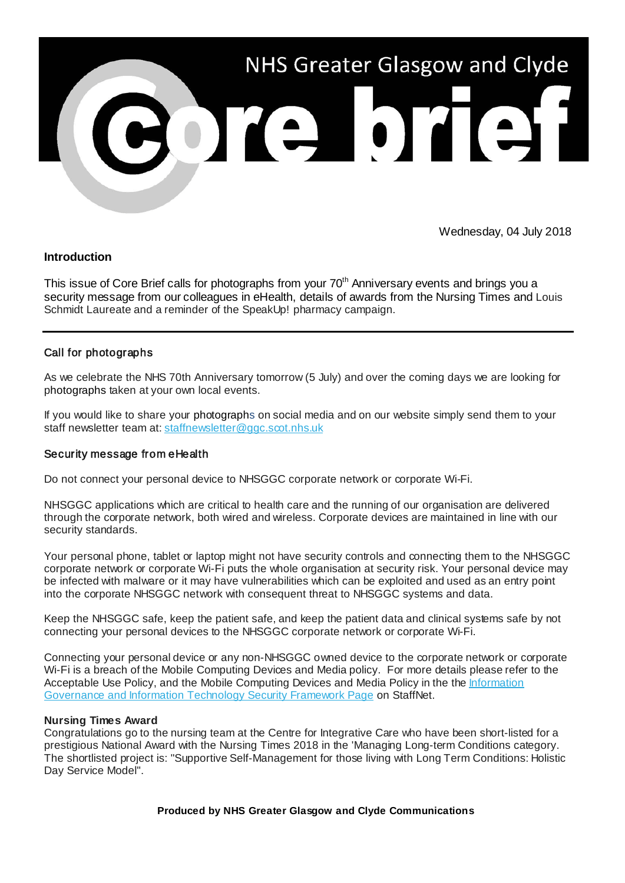

Wednesday, 04 July 2018

## **Introduction**

This issue of Core Brief calls for photographs from your 70<sup>th</sup> Anniversary events and brings you a security message from our colleagues in eHealth, details of awards from the Nursing Times and Louis Schmidt Laureate and a reminder of the SpeakUp! pharmacy campaign.

# Call for photographs

As we celebrate the NHS 70th Anniversary tomorrow (5 July) and over the coming days we are looking for photographs taken at your own local events.

If you would like to share your photographs on social media and on our website simply send them to your staff newsletter team at: [staffnewsletter@ggc.scot.nhs.uk](mailto:staffnewsletter@ggc.scot.nhs.uk?subject=70th%20Anniversary%20pics)

### Security message from eHealth

Do not connect your personal device to NHSGGC corporate network or corporate Wi-Fi.

NHSGGC applications which are critical to health care and the running of our organisation are delivered through the corporate network, both wired and wireless. Corporate devices are maintained in line with our security standards.

Your personal phone, tablet or laptop might not have security controls and connecting them to the NHSGGC corporate network or corporate Wi-Fi puts the whole organisation at security risk. Your personal device may be infected with malware or it may have vulnerabilities which can be exploited and used as an entry point into the corporate NHSGGC network with consequent threat to NHSGGC systems and data.

Keep the NHSGGC safe, keep the patient safe, and keep the patient data and clinical systems safe by not connecting your personal devices to the NHSGGC corporate network or corporate Wi-Fi.

Connecting your personal device or any non-NHSGGC owned device to the corporate network or corporate Wi-Fi is a breach of the Mobile Computing Devices and Media policy. For more details please refer to the Acceptable Use Policy, and the Mobile Computing Devices and Media Policy in the the Information [Governance and Information Technology Security Framework Page](https://nhsggc.us12.list-manage.com/track/click?u=0f385b5aea37eaf0213bd19fb&id=65cfabc1e5&e=5af5e1832c) on StaffNet.

### **Nursing Times Award**

Congratulations go to the nursing team at the Centre for Integrative Care who have been short-listed for a prestigious National Award with the Nursing Times 2018 in the 'Managing Long-term Conditions category. The shortlisted project is: "Supportive Self-Management for those living with Long Term Conditions: Holistic Day Service Model".

### **Produced by NHS Greater Glasgow and Clyde Communications**